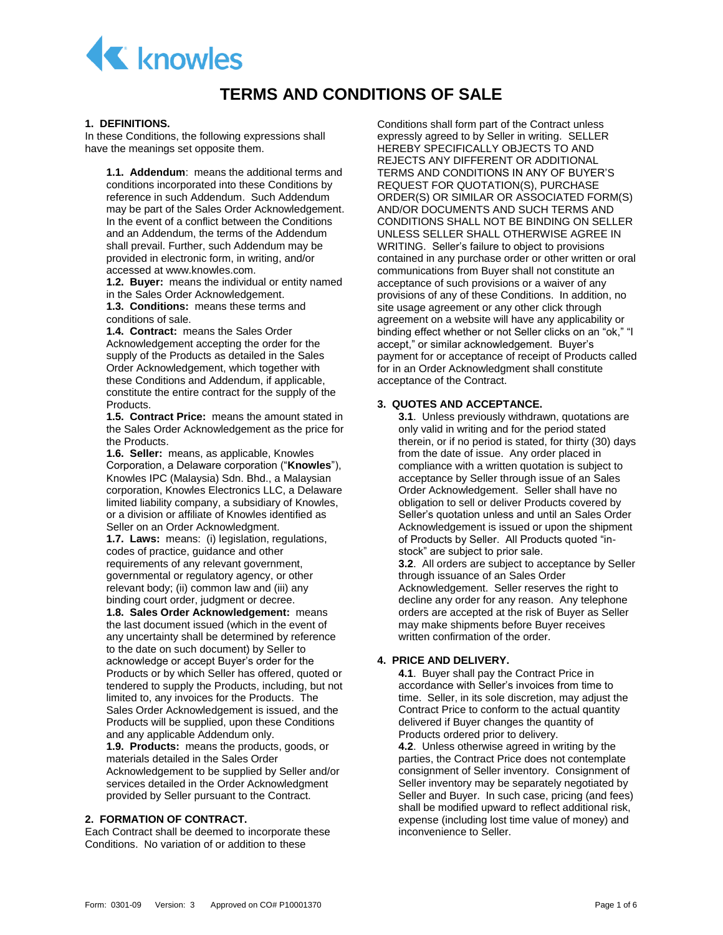

# **TERMS AND CONDITIONS OF SALE**

#### **1. DEFINITIONS.**

In these Conditions, the following expressions shall have the meanings set opposite them.

**1.1. Addendum**: means the additional terms and conditions incorporated into these Conditions by reference in such Addendum. Such Addendum may be part of the Sales Order Acknowledgement. In the event of a conflict between the Conditions and an Addendum, the terms of the Addendum shall prevail. Further, such Addendum may be provided in electronic form, in writing, and/or accessed at www.knowles.com.

**1.2. Buyer:** means the individual or entity named in the Sales Order Acknowledgement.

**1.3. Conditions:** means these terms and conditions of sale.

**1.4. Contract:** means the Sales Order Acknowledgement accepting the order for the supply of the Products as detailed in the Sales Order Acknowledgement, which together with these Conditions and Addendum, if applicable, constitute the entire contract for the supply of the Products.

**1.5. Contract Price:** means the amount stated in the Sales Order Acknowledgement as the price for the Products.

**1.6. Seller:** means, as applicable, Knowles Corporation, a Delaware corporation ("**Knowles**"), Knowles IPC (Malaysia) Sdn. Bhd., a Malaysian corporation, Knowles Electronics LLC, a Delaware limited liability company, a subsidiary of Knowles, or a division or affiliate of Knowles identified as Seller on an Order Acknowledgment.

**1.7. Laws:** means: (i) legislation, regulations, codes of practice, guidance and other requirements of any relevant government, governmental or regulatory agency, or other relevant body; (ii) common law and (iii) any binding court order, judgment or decree.

**1.8. Sales Order Acknowledgement:** means the last document issued (which in the event of any uncertainty shall be determined by reference to the date on such document) by Seller to acknowledge or accept Buyer's order for the Products or by which Seller has offered, quoted or tendered to supply the Products, including, but not limited to, any invoices for the Products. The Sales Order Acknowledgement is issued, and the Products will be supplied, upon these Conditions and any applicable Addendum only.

**1.9. Products:** means the products, goods, or materials detailed in the Sales Order Acknowledgement to be supplied by Seller and/or services detailed in the Order Acknowledgment provided by Seller pursuant to the Contract.

# **2. FORMATION OF CONTRACT.**

Each Contract shall be deemed to incorporate these Conditions. No variation of or addition to these

Conditions shall form part of the Contract unless expressly agreed to by Seller in writing. SELLER HEREBY SPECIFICALLY OBJECTS TO AND REJECTS ANY DIFFERENT OR ADDITIONAL TERMS AND CONDITIONS IN ANY OF BUYER'S REQUEST FOR QUOTATION(S), PURCHASE ORDER(S) OR SIMILAR OR ASSOCIATED FORM(S) AND/OR DOCUMENTS AND SUCH TERMS AND CONDITIONS SHALL NOT BE BINDING ON SELLER UNLESS SELLER SHALL OTHERWISE AGREE IN WRITING. Seller's failure to object to provisions contained in any purchase order or other written or oral communications from Buyer shall not constitute an acceptance of such provisions or a waiver of any provisions of any of these Conditions. In addition, no site usage agreement or any other click through agreement on a website will have any applicability or binding effect whether or not Seller clicks on an "ok," "I accept," or similar acknowledgement. Buyer's payment for or acceptance of receipt of Products called for in an Order Acknowledgment shall constitute acceptance of the Contract.

#### **3. QUOTES AND ACCEPTANCE.**

**3.1**. Unless previously withdrawn, quotations are only valid in writing and for the period stated therein, or if no period is stated, for thirty (30) days from the date of issue. Any order placed in compliance with a written quotation is subject to acceptance by Seller through issue of an Sales Order Acknowledgement. Seller shall have no obligation to sell or deliver Products covered by Seller's quotation unless and until an Sales Order Acknowledgement is issued or upon the shipment of Products by Seller. All Products quoted "instock" are subject to prior sale.

**3.2**. All orders are subject to acceptance by Seller through issuance of an Sales Order Acknowledgement. Seller reserves the right to decline any order for any reason. Any telephone orders are accepted at the risk of Buyer as Seller may make shipments before Buyer receives written confirmation of the order.

# **4. PRICE AND DELIVERY.**

**4.1**. Buyer shall pay the Contract Price in accordance with Seller's invoices from time to time. Seller, in its sole discretion, may adjust the Contract Price to conform to the actual quantity delivered if Buyer changes the quantity of Products ordered prior to delivery.

**4.2**. Unless otherwise agreed in writing by the parties, the Contract Price does not contemplate consignment of Seller inventory. Consignment of Seller inventory may be separately negotiated by Seller and Buyer. In such case, pricing (and fees) shall be modified upward to reflect additional risk, expense (including lost time value of money) and inconvenience to Seller.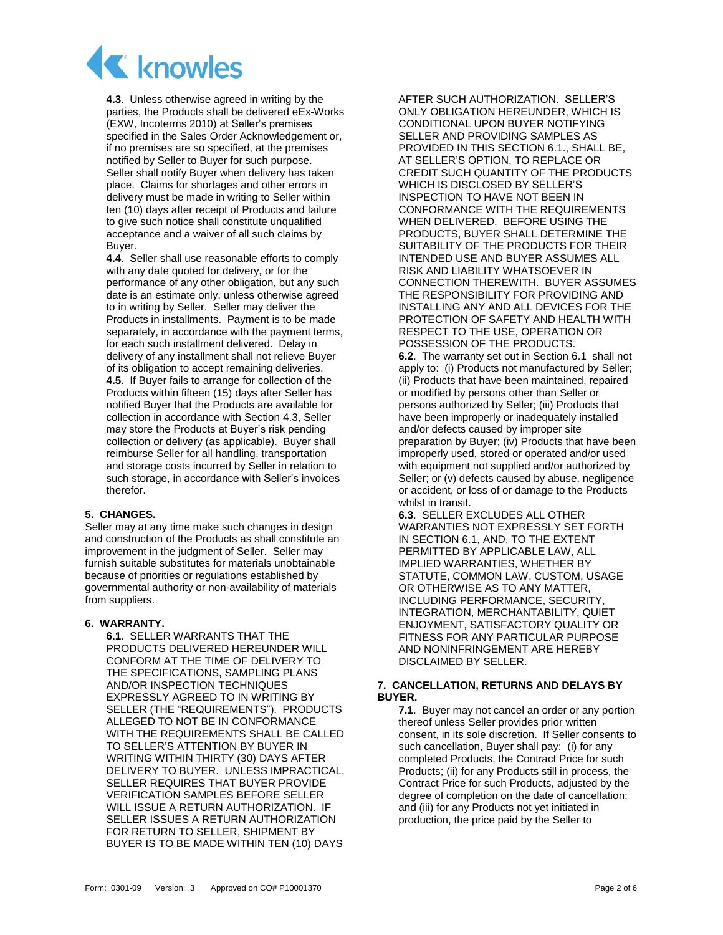

<span id="page-1-0"></span>**4.3**. Unless otherwise agreed in writing by the parties, the Products shall be delivered eEx-Works (EXW, Incoterms 2010) at Seller's premises specified in the Sales Order Acknowledgement or, if no premises are so specified, at the premises notified by Seller to Buyer for such purpose. Seller shall notify Buyer when delivery has taken place. Claims for shortages and other errors in delivery must be made in writing to Seller within ten (10) days after receipt of Products and failure to give such notice shall constitute unqualified acceptance and a waiver of all such claims by Buyer.

**4.4**. Seller shall use reasonable efforts to comply with any date quoted for delivery, or for the performance of any other obligation, but any such date is an estimate only, unless otherwise agreed to in writing by Seller. Seller may deliver the Products in installments. Payment is to be made separately, in accordance with the payment terms, for each such installment delivered. Delay in delivery of any installment shall not relieve Buyer of its obligation to accept remaining deliveries. **4.5**. If Buyer fails to arrange for collection of the Products within fifteen (15) days after Seller has notified Buyer that the Products are available for collection in accordance with Section [4.3,](#page-1-0) Seller may store the Products at Buyer's risk pending collection or delivery (as applicable). Buyer shall reimburse Seller for all handling, transportation and storage costs incurred by Seller in relation to such storage, in accordance with Seller's invoices therefor.

# **5. CHANGES.**

Seller may at any time make such changes in design and construction of the Products as shall constitute an improvement in the judgment of Seller. Seller may furnish suitable substitutes for materials unobtainable because of priorities or regulations established by governmental authority or non-availability of materials from suppliers.

#### <span id="page-1-1"></span>**6. WARRANTY.**

**6.1**. SELLER WARRANTS THAT THE PRODUCTS DELIVERED HEREUNDER WILL CONFORM AT THE TIME OF DELIVERY TO THE SPECIFICATIONS, SAMPLING PLANS AND/OR INSPECTION TECHNIQUES EXPRESSLY AGREED TO IN WRITING BY SELLER (THE "REQUIREMENTS"). PRODUCTS ALLEGED TO NOT BE IN CONFORMANCE WITH THE REQUIREMENTS SHALL BE CALLED TO SELLER'S ATTENTION BY BUYER IN WRITING WITHIN THIRTY (30) DAYS AFTER DELIVERY TO BUYER. UNLESS IMPRACTICAL, SELLER REQUIRES THAT BUYER PROVIDE VERIFICATION SAMPLES BEFORE SELLER WILL ISSUE A RETURN AUTHORIZATION. IF SELLER ISSUES A RETURN AUTHORIZATION FOR RETURN TO SELLER, SHIPMENT BY BUYER IS TO BE MADE WITHIN TEN (10) DAYS

AFTER SUCH AUTHORIZATION. SELLER'S ONLY OBLIGATION HEREUNDER, WHICH IS CONDITIONAL UPON BUYER NOTIFYING SELLER AND PROVIDING SAMPLES AS PROVIDED IN THIS SECTION [6.1.](#page-1-1), SHALL BE, AT SELLER'S OPTION, TO REPLACE OR CREDIT SUCH QUANTITY OF THE PRODUCTS WHICH IS DISCLOSED BY SELLER'S INSPECTION TO HAVE NOT BEEN IN CONFORMANCE WITH THE REQUIREMENTS WHEN DELIVERED. BEFORE USING THE PRODUCTS, BUYER SHALL DETERMINE THE SUITABILITY OF THE PRODUCTS FOR THEIR INTENDED USE AND BUYER ASSUMES ALL RISK AND LIABILITY WHATSOEVER IN CONNECTION THEREWITH. BUYER ASSUMES THE RESPONSIBILITY FOR PROVIDING AND INSTALLING ANY AND ALL DEVICES FOR THE PROTECTION OF SAFETY AND HEALTH WITH RESPECT TO THE USE, OPERATION OR POSSESSION OF THE PRODUCTS.

**6.2**. The warranty set out in Section [6.1](#page-1-1) shall not apply to: (i) Products not manufactured by Seller; (ii) Products that have been maintained, repaired or modified by persons other than Seller or persons authorized by Seller; (iii) Products that have been improperly or inadequately installed and/or defects caused by improper site preparation by Buyer; (iv) Products that have been improperly used, stored or operated and/or used with equipment not supplied and/or authorized by Seller; or (v) defects caused by abuse, negligence or accident, or loss of or damage to the Products whilst in transit.

**6.3**. SELLER EXCLUDES ALL OTHER WARRANTIES NOT EXPRESSLY SET FORTH IN SECTIO[N 6.1,](#page-1-1) AND, TO THE EXTENT PERMITTED BY APPLICABLE LAW, ALL IMPLIED WARRANTIES, WHETHER BY STATUTE, COMMON LAW, CUSTOM, USAGE OR OTHERWISE AS TO ANY MATTER, INCLUDING PERFORMANCE, SECURITY, INTEGRATION, MERCHANTABILITY, QUIET ENJOYMENT, SATISFACTORY QUALITY OR FITNESS FOR ANY PARTICULAR PURPOSE AND NONINFRINGEMENT ARE HEREBY DISCLAIMED BY SELLER.

#### **7. CANCELLATION, RETURNS AND DELAYS BY BUYER.**

<span id="page-1-2"></span>**7.1**. Buyer may not cancel an order or any portion thereof unless Seller provides prior written consent, in its sole discretion. If Seller consents to such cancellation, Buyer shall pay: (i) for any completed Products, the Contract Price for such Products; (ii) for any Products still in process, the Contract Price for such Products, adjusted by the degree of completion on the date of cancellation; and (iii) for any Products not yet initiated in production, the price paid by the Seller to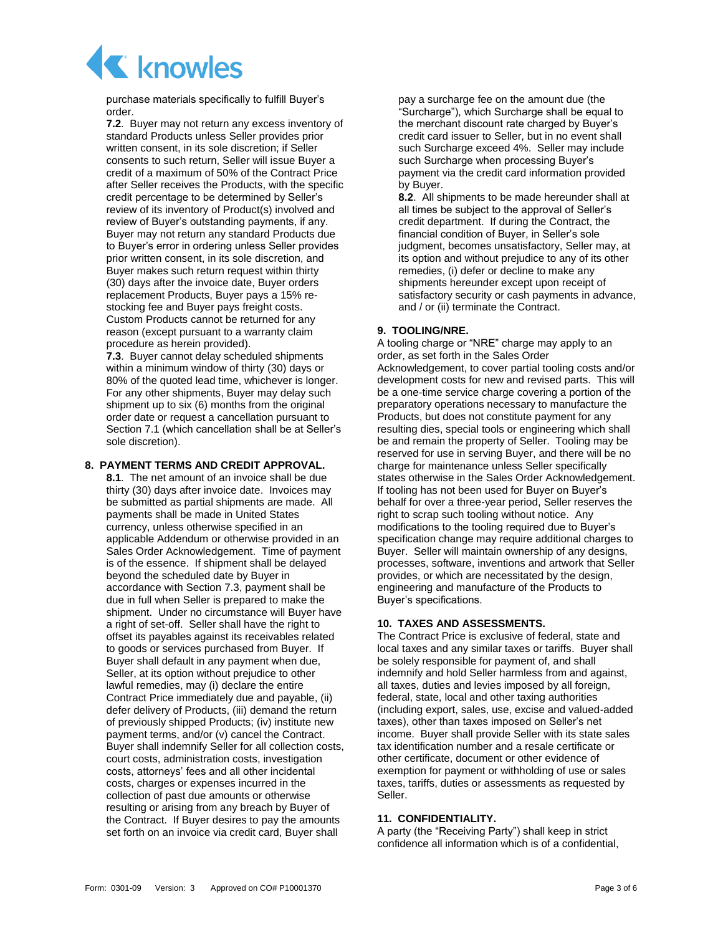

purchase materials specifically to fulfill Buyer's order.

**7.2**. Buyer may not return any excess inventory of standard Products unless Seller provides prior written consent, in its sole discretion; if Seller consents to such return, Seller will issue Buyer a credit of a maximum of 50% of the Contract Price after Seller receives the Products, with the specific credit percentage to be determined by Seller's review of its inventory of Product(s) involved and review of Buyer's outstanding payments, if any. Buyer may not return any standard Products due to Buyer's error in ordering unless Seller provides prior written consent, in its sole discretion, and Buyer makes such return request within thirty (30) days after the invoice date, Buyer orders replacement Products, Buyer pays a 15% restocking fee and Buyer pays freight costs. Custom Products cannot be returned for any reason (except pursuant to a warranty claim procedure as herein provided).

<span id="page-2-0"></span>**7.3**. Buyer cannot delay scheduled shipments within a minimum window of thirty (30) days or 80% of the quoted lead time, whichever is longer. For any other shipments, Buyer may delay such shipment up to six (6) months from the original order date or request a cancellation pursuant to Section [7.1](#page-1-2) (which cancellation shall be at Seller's sole discretion).

#### **8. PAYMENT TERMS AND CREDIT APPROVAL.**

**8.1**. The net amount of an invoice shall be due thirty (30) days after invoice date. Invoices may be submitted as partial shipments are made. All payments shall be made in United States currency, unless otherwise specified in an applicable Addendum or otherwise provided in an Sales Order Acknowledgement. Time of payment is of the essence. If shipment shall be delayed beyond the scheduled date by Buyer in accordance with Section [7.3,](#page-2-0) payment shall be due in full when Seller is prepared to make the shipment. Under no circumstance will Buyer have a right of set-off. Seller shall have the right to offset its payables against its receivables related to goods or services purchased from Buyer. If Buyer shall default in any payment when due, Seller, at its option without prejudice to other lawful remedies, may (i) declare the entire Contract Price immediately due and payable, (ii) defer delivery of Products, (iii) demand the return of previously shipped Products; (iv) institute new payment terms, and/or (v) cancel the Contract. Buyer shall indemnify Seller for all collection costs, court costs, administration costs, investigation costs, attorneys' fees and all other incidental costs, charges or expenses incurred in the collection of past due amounts or otherwise resulting or arising from any breach by Buyer of the Contract. If Buyer desires to pay the amounts set forth on an invoice via credit card, Buyer shall

pay a surcharge fee on the amount due (the "Surcharge"), which Surcharge shall be equal to the merchant discount rate charged by Buyer's credit card issuer to Seller, but in no event shall such Surcharge exceed 4%. Seller may include such Surcharge when processing Buyer's payment via the credit card information provided by Buyer.

**8.2**. All shipments to be made hereunder shall at all times be subject to the approval of Seller's credit department. If during the Contract, the financial condition of Buyer, in Seller's sole judgment, becomes unsatisfactory, Seller may, at its option and without prejudice to any of its other remedies, (i) defer or decline to make any shipments hereunder except upon receipt of satisfactory security or cash payments in advance, and / or (ii) terminate the Contract.

# **9. TOOLING/NRE.**

A tooling charge or "NRE" charge may apply to an order, as set forth in the Sales Order Acknowledgement, to cover partial tooling costs and/or development costs for new and revised parts. This will be a one-time service charge covering a portion of the preparatory operations necessary to manufacture the Products, but does not constitute payment for any resulting dies, special tools or engineering which shall be and remain the property of Seller. Tooling may be reserved for use in serving Buyer, and there will be no charge for maintenance unless Seller specifically states otherwise in the Sales Order Acknowledgement. If tooling has not been used for Buyer on Buyer's behalf for over a three-year period, Seller reserves the right to scrap such tooling without notice. Any modifications to the tooling required due to Buyer's specification change may require additional charges to Buyer. Seller will maintain ownership of any designs, processes, software, inventions and artwork that Seller provides, or which are necessitated by the design, engineering and manufacture of the Products to Buyer's specifications.

# **10. TAXES AND ASSESSMENTS.**

The Contract Price is exclusive of federal, state and local taxes and any similar taxes or tariffs. Buyer shall be solely responsible for payment of, and shall indemnify and hold Seller harmless from and against, all taxes, duties and levies imposed by all foreign, federal, state, local and other taxing authorities (including export, sales, use, excise and valued-added taxes), other than taxes imposed on Seller's net income. Buyer shall provide Seller with its state sales tax identification number and a resale certificate or other certificate, document or other evidence of exemption for payment or withholding of use or sales taxes, tariffs, duties or assessments as requested by Seller.

# <span id="page-2-1"></span>**11. CONFIDENTIALITY.**

A party (the "Receiving Party") shall keep in strict confidence all information which is of a confidential,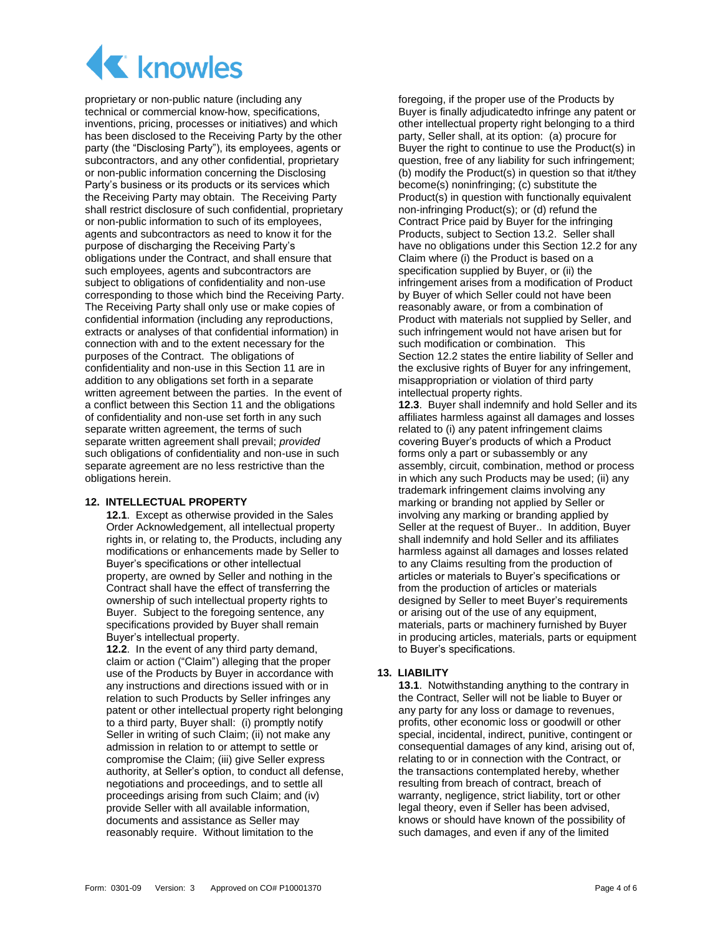

proprietary or non-public nature (including any technical or commercial know-how, specifications, inventions, pricing, processes or initiatives) and which has been disclosed to the Receiving Party by the other party (the "Disclosing Party"), its employees, agents or subcontractors, and any other confidential, proprietary or non-public information concerning the Disclosing Party's business or its products or its services which the Receiving Party may obtain. The Receiving Party shall restrict disclosure of such confidential, proprietary or non-public information to such of its employees, agents and subcontractors as need to know it for the purpose of discharging the Receiving Party's obligations under the Contract, and shall ensure that such employees, agents and subcontractors are subject to obligations of confidentiality and non-use corresponding to those which bind the Receiving Party. The Receiving Party shall only use or make copies of confidential information (including any reproductions, extracts or analyses of that confidential information) in connection with and to the extent necessary for the purposes of the Contract. The obligations of confidentiality and non-use in this Section [11](#page-2-1) are in addition to any obligations set forth in a separate written agreement between the parties. In the event of a conflict between this Sectio[n 11](#page-2-1) and the obligations of confidentiality and non-use set forth in any such separate written agreement, the terms of such separate written agreement shall prevail; *provided* such obligations of confidentiality and non-use in such separate agreement are no less restrictive than the obligations herein.

#### **12. INTELLECTUAL PROPERTY**

**12.1**. Except as otherwise provided in the Sales Order Acknowledgement, all intellectual property rights in, or relating to, the Products, including any modifications or enhancements made by Seller to Buyer's specifications or other intellectual property, are owned by Seller and nothing in the Contract shall have the effect of transferring the ownership of such intellectual property rights to Buyer. Subject to the foregoing sentence, any specifications provided by Buyer shall remain Buyer's intellectual property.

<span id="page-3-0"></span>**12.2**. In the event of any third party demand, claim or action ("Claim") alleging that the proper use of the Products by Buyer in accordance with any instructions and directions issued with or in relation to such Products by Seller infringes any patent or other intellectual property right belonging to a third party, Buyer shall: (i) promptly notify Seller in writing of such Claim; (ii) not make any admission in relation to or attempt to settle or compromise the Claim; (iii) give Seller express authority, at Seller's option, to conduct all defense, negotiations and proceedings, and to settle all proceedings arising from such Claim; and (iv) provide Seller with all available information, documents and assistance as Seller may reasonably require. Without limitation to the

foregoing, if the proper use of the Products by Buyer is finally adjudicatedto infringe any patent or other intellectual property right belonging to a third party, Seller shall, at its option: (a) procure for Buyer the right to continue to use the Product(s) in question, free of any liability for such infringement; (b) modify the Product(s) in question so that it/they become(s) noninfringing; (c) substitute the Product(s) in question with functionally equivalent non-infringing Product(s); or (d) refund the Contract Price paid by Buyer for the infringing Products, subject to Section 13.2. Seller shall have no obligations under this Section 12.2 for any Claim where (i) the Product is based on a specification supplied by Buyer, or (ii) the infringement arises from a modification of Product by Buyer of which Seller could not have been reasonably aware, or from a combination of Product with materials not supplied by Seller, and such infringement would not have arisen but for such modification or combination. This Section [12.2](#page-3-0) states the entire liability of Seller and the exclusive rights of Buyer for any infringement, misappropriation or violation of third party intellectual property rights.

**12.3**. Buyer shall indemnify and hold Seller and its affiliates harmless against all damages and losses related to (i) any patent infringement claims covering Buyer's products of which a Product forms only a part or subassembly or any assembly, circuit, combination, method or process in which any such Products may be used; (ii) any trademark infringement claims involving any marking or branding not applied by Seller or involving any marking or branding applied by Seller at the request of Buyer.. In addition, Buyer shall indemnify and hold Seller and its affiliates harmless against all damages and losses related to any Claims resulting from the production of articles or materials to Buyer's specifications or from the production of articles or materials designed by Seller to meet Buyer's requirements or arising out of the use of any equipment, materials, parts or machinery furnished by Buyer in producing articles, materials, parts or equipment to Buyer's specifications.

# <span id="page-3-1"></span>**13. LIABILITY**

**13.1**. Notwithstanding anything to the contrary in the Contract, Seller will not be liable to Buyer or any party for any loss or damage to revenues, profits, other economic loss or goodwill or other special, incidental, indirect, punitive, contingent or consequential damages of any kind, arising out of, relating to or in connection with the Contract, or the transactions contemplated hereby, whether resulting from breach of contract, breach of warranty, negligence, strict liability, tort or other legal theory, even if Seller has been advised, knows or should have known of the possibility of such damages, and even if any of the limited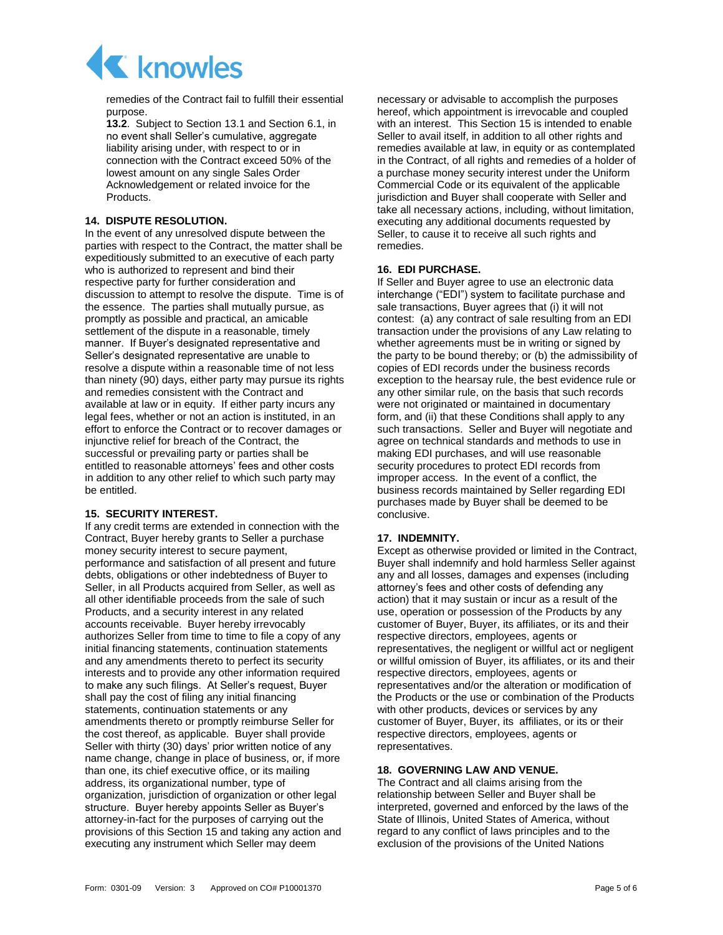

remedies of the Contract fail to fulfill their essential purpose.

**13.2**. Subject to Section [13.1](#page-3-1) and Section [6.1,](#page-1-1) in no event shall Seller's cumulative, aggregate liability arising under, with respect to or in connection with the Contract exceed 50% of the lowest amount on any single Sales Order Acknowledgement or related invoice for the Products.

# **14. DISPUTE RESOLUTION.**

In the event of any unresolved dispute between the parties with respect to the Contract, the matter shall be expeditiously submitted to an executive of each party who is authorized to represent and bind their respective party for further consideration and discussion to attempt to resolve the dispute. Time is of the essence. The parties shall mutually pursue, as promptly as possible and practical, an amicable settlement of the dispute in a reasonable, timely manner. If Buyer's designated representative and Seller's designated representative are unable to resolve a dispute within a reasonable time of not less than ninety (90) days, either party may pursue its rights and remedies consistent with the Contract and available at law or in equity. If either party incurs any legal fees, whether or not an action is instituted, in an effort to enforce the Contract or to recover damages or injunctive relief for breach of the Contract, the successful or prevailing party or parties shall be entitled to reasonable attorneys' fees and other costs in addition to any other relief to which such party may be entitled.

#### <span id="page-4-1"></span><span id="page-4-0"></span>**15. SECURITY INTEREST.**

If any credit terms are extended in connection with the Contract, Buyer hereby grants to Seller a purchase money security interest to secure payment, performance and satisfaction of all present and future debts, obligations or other indebtedness of Buyer to Seller, in all Products acquired from Seller, as well as all other identifiable proceeds from the sale of such Products, and a security interest in any related accounts receivable. Buyer hereby irrevocably authorizes Seller from time to time to file a copy of any initial financing statements, continuation statements and any amendments thereto to perfect its security interests and to provide any other information required to make any such filings. At Seller's request, Buyer shall pay the cost of filing any initial financing statements, continuation statements or any amendments thereto or promptly reimburse Seller for the cost thereof, as applicable. Buyer shall provide Seller with thirty (30) days' prior written notice of any name change, change in place of business, or, if more than one, its chief executive office, or its mailing address, its organizational number, type of organization, jurisdiction of organization or other legal structure. Buyer hereby appoints Seller as Buyer's attorney-in-fact for the purposes of carrying out the provisions of this Section [15](#page-4-0) and taking any action and executing any instrument which Seller may deem

necessary or advisable to accomplish the purposes hereof, which appointment is irrevocable and coupled with an interest. This Sectio[n 15](#page-4-1) is intended to enable Seller to avail itself, in addition to all other rights and remedies available at law, in equity or as contemplated in the Contract, of all rights and remedies of a holder of a purchase money security interest under the Uniform Commercial Code or its equivalent of the applicable jurisdiction and Buyer shall cooperate with Seller and take all necessary actions, including, without limitation, executing any additional documents requested by Seller, to cause it to receive all such rights and remedies.

# **16. EDI PURCHASE.**

If Seller and Buyer agree to use an electronic data interchange ("EDI") system to facilitate purchase and sale transactions, Buyer agrees that (i) it will not contest: (a) any contract of sale resulting from an EDI transaction under the provisions of any Law relating to whether agreements must be in writing or signed by the party to be bound thereby; or (b) the admissibility of copies of EDI records under the business records exception to the hearsay rule, the best evidence rule or any other similar rule, on the basis that such records were not originated or maintained in documentary form, and (ii) that these Conditions shall apply to any such transactions. Seller and Buyer will negotiate and agree on technical standards and methods to use in making EDI purchases, and will use reasonable security procedures to protect EDI records from improper access. In the event of a conflict, the business records maintained by Seller regarding EDI purchases made by Buyer shall be deemed to be conclusive.

#### **17. INDEMNITY.**

Except as otherwise provided or limited in the Contract, Buyer shall indemnify and hold harmless Seller against any and all losses, damages and expenses (including attorney's fees and other costs of defending any action) that it may sustain or incur as a result of the use, operation or possession of the Products by any customer of Buyer, Buyer, its affiliates, or its and their respective directors, employees, agents or representatives, the negligent or willful act or negligent or willful omission of Buyer, its affiliates, or its and their respective directors, employees, agents or representatives and/or the alteration or modification of the Products or the use or combination of the Products with other products, devices or services by any customer of Buyer, Buyer, its affiliates, or its or their respective directors, employees, agents or representatives.

# **18. GOVERNING LAW AND VENUE.**

The Contract and all claims arising from the relationship between Seller and Buyer shall be interpreted, governed and enforced by the laws of the State of Illinois, United States of America, without regard to any conflict of laws principles and to the exclusion of the provisions of the United Nations